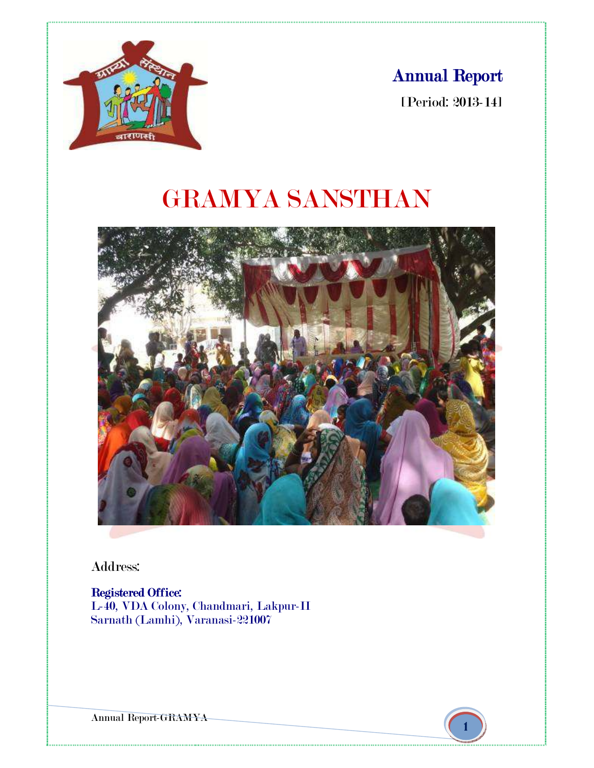# Annual Report

[Period: 2013-14]



# GRAMYA SANSTHAN



Address:

# Registered Office:

L-40, VDA Colony, Chandmari, Lakpur-II Sarnath (Lamhi), Varanasi-221007

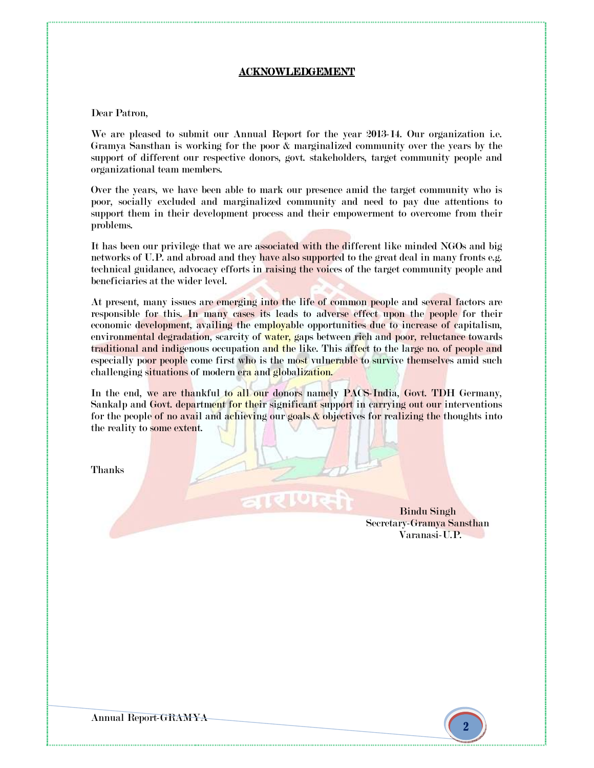#### ACKNOWLEDGEMENT

#### Dear Patron,

We are pleased to submit our Annual Report for the year 2013-14. Our organization i.e. Gramya Sansthan is working for the poor & marginalized community over the years by the support of different our respective donors, govt. stakeholders, target community people and organizational team members.

Over the years, we have been able to mark our presence amid the target community who is poor, socially excluded and marginalized community and need to pay due attentions to support them in their development process and their empowerment to overcome from their problems.

It has been our privilege that we are associated with the different like minded NGOs and big networks of U.P. and abroad and they have also supported to the great deal in many fronts e.g. technical guidance, advocacy efforts in raising the voices of the target community people and beneficiaries at the wider level.

At present, many issues are emerging into the life of common people and several factors are responsible for this. In many cases its leads to adverse effect upon the people for their economic development, availing the employable opportunities due to increase of capitalism, environmental degradation, scarcity of water, gaps between rich and poor, reluctance towards traditional and indigenous occupation and the like. This affect to the large no. of people and especially poor people come first who is the most vulnerable to survive themselves amid such challenging situations of modern era and globalization.

In the end, we are thankful to all our donors namely PACS-India, Govt. TDH Germany, Sankalp and Govt. department for their significant support in carrying out our interventions for the people of no avail and achieving our goals  $\&$  objectives for realizing the thoughts into the reality to some extent.

Thanks

Bindu Singh Secretary-Gramya Sansthan Varanasi-U.P.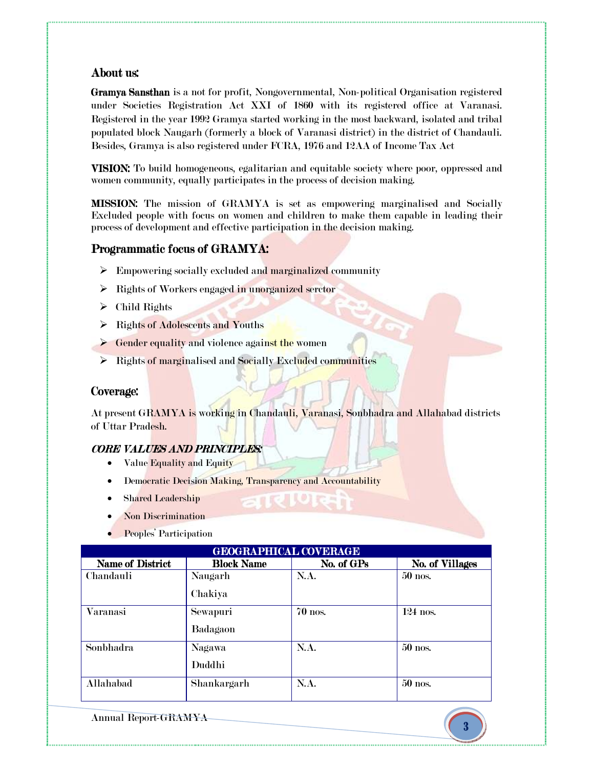# About us:

Gramya Sansthan is a not for profit, Nongovernmental, Non-political Organisation registered under Societies Registration Act XXI of 1860 with its registered office at Varanasi. Registered in the year 1992 Gramya started working in the most backward, isolated and tribal populated block Naugarh (formerly a block of Varanasi district) in the district of Chandauli. Besides, Gramya is also registered under FCRA, 1976 and 12AA of Income Tax Act

VISION: To build homogeneous, egalitarian and equitable society where poor, oppressed and women community, equally participates in the process of decision making.

**MISSION:** The mission of GRAMYA is set as empowering marginalised and Socially Excluded people with focus on women and children to make them capable in leading their process of development and effective participation in the decision making.

# Programmatic focus of GRAMYA:

- $\triangleright$  Empowering socially excluded and marginalized community
- $\triangleright$  Rights of Workers engaged in unorganized serctor
- $\triangleright$  Child Rights
- > Rights of Adolescents and Youths
- $\triangleright$  Gender equality and violence against the women
- $\triangleright$  Rights of marginalised and Socially Excluded communities

# Coverage:

At present GRAMYA is working in Chandauli, Varanasi, Sonbhadra and Allahabad districts of Uttar Pradesh.

# CORE VALUES AND PRINCIPLES:

- Value Equality and Equity
- Democratic Decision Making, Transparency and Accountability
- **Shared Leadership**
- Non Discrimination
- Peoples' Participation

| <b>GEOGRAPHICAL COVERAGE</b> |                   |            |                        |  |  |
|------------------------------|-------------------|------------|------------------------|--|--|
| <b>Name of District</b>      | <b>Block Name</b> | No. of GPs | <b>No. of Villages</b> |  |  |
| Chandauli                    | Naugarh           | N.A.       | 50 nos.                |  |  |
|                              | Chakiya           |            |                        |  |  |
| Varanasi                     | Sewapuri          | 70 nos.    | $124$ nos.             |  |  |
|                              | Badagaon          |            |                        |  |  |
| Sonbhadra                    | Nagawa            | N.A.       | 50 nos.                |  |  |
|                              | Duddhi            |            |                        |  |  |
| Allahabad                    | Shankargarh       | N.A.       | 50 nos.                |  |  |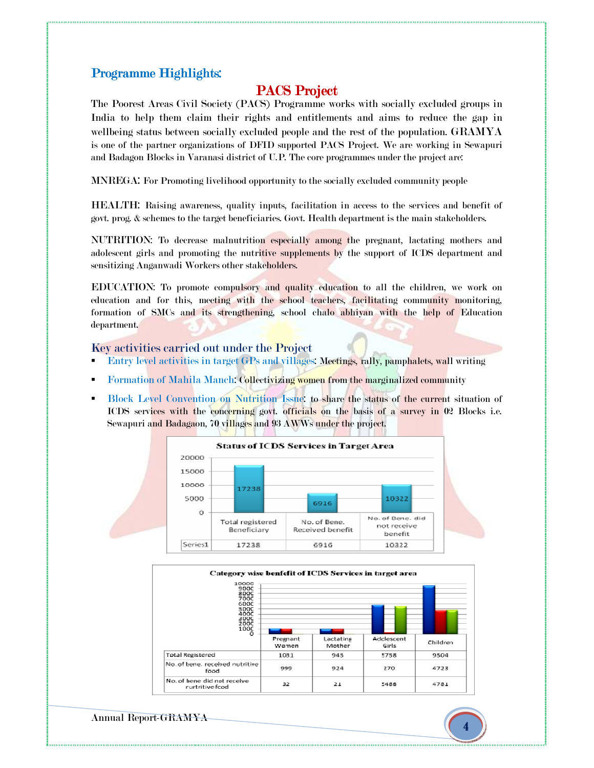# Programme Highlights:

# PACS Project

The Poorest Areas Civil Society (PACS) Programme works with socially excluded groups in India to help them claim their rights and entitlements and aims to reduce the gap in wellbeing status between socially excluded people and the rest of the population. GRAMYA is one of the partner organizations of DFID supported PACS Project. We are working in Sewapuri and Badagon Blocks in Varanasi district of U.P. The core programmes under the project are:

MNREGA: For Promoting livelihood opportunity to the socially excluded community people

HEALTH: Raising awareness, quality inputs, facilitation in access to the services and benefit of govt. prog. & schemes to the target beneficiaries. Govt. Health department is the main stakeholders.

NUTRITION: To decrease malnutrition especially among the pregnant, lactating mothers and adolescent girls and promoting the nutritive supplements by the support of ICDS department and sensitizing Anganwadi Workers other stakeholders.

EDUCATION: To promote compulsory and quality education to all the children, we work on education and for this, meeting with the school teachers, facilitating community monitoring, formation of SMCs and its strengthening, school chalo abhiyan with the help of Education department.

Key activities carried out under the Project

- -Entry level activities in target GPs and villages: Meetings, rally, pamphalets, wall writing
- -Formation of Mahila Manch: Collectivizing women from the marginalized community
- - Block Level Convention on Nutrition Issue: to share the status of the current situation of ICDS services with the concerning govt. officials on the basis of a survey in 02 Blocks i.e. Sewapuri and Badagaon, 70 villages and 93 AWWs under the project.



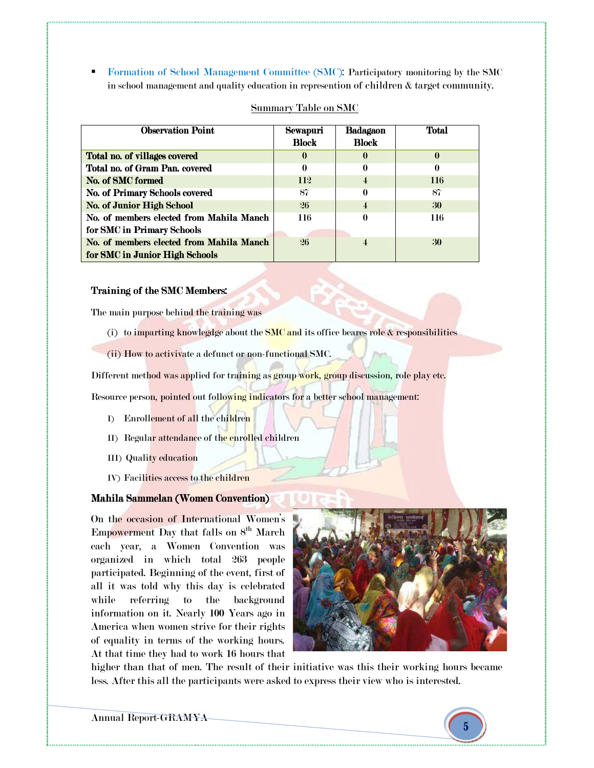- Formation of School Management Committee (SMC): Participatory monitoring by the SMC in school management and quality education in represention of children & target community.

| <b>Observation Point</b>                 | Sewapuri<br><b>Block</b> | Badagaon<br><b>Block</b> | Total    |
|------------------------------------------|--------------------------|--------------------------|----------|
| Total no. of villages covered            | $\bf{0}$                 | $\mathbf{0}$             | $\bf{0}$ |
| Total no. of Gram Pan. covered           | 0                        | $\mathbf{0}$             | 0        |
| No. of SMC formed                        | <b>112</b>               | $\overline{4}$           | 116      |
| No. of Primary Schools covered           | 87                       | 0                        | 87       |
| <b>No. of Junior High School</b>         | 26                       | $\overline{4}$           | 30       |
| No. of members elected from Mahila Manch | 116                      | 0                        | 116      |
| for SMC in Primary Schools               |                          |                          |          |
| No. of members elected from Mahila Manch | 26                       |                          | 30       |
| for SMC in Junior High Schools           |                          |                          |          |

#### Summary Table on SMC

#### Training of the SMC Members:

The main purpose behind the training was

- (i) to imparting knowlegdge about the SMC and its office beares role  $\&$  responsibilities
- (ii) How to activivate a defunct or non-functional SMC.

Different method was applied for training as group work, group discussion, role play etc.

Resource person, pointed out following indicators for a better school management:

- I) Enrollement of all the children
- II) Regular attendance of the enrolled children
- III) Quality education
- IV) Facilities access to the children

# Mahila Sammelan (Women Convention)

On the occasion of International Women's Empowerment Day that falls on  $8<sup>th</sup>$  March each year, a Women Convention was organized in which total 263 people participated. Beginning of the event, first of all it was told why this day is celebrated while referring to the background information on it. Nearly 100 Years ago in America when women strive for their rights of equality in terms of the working hours. At that time they had to work 16 hours that



higher than that of men. The result of their initiative was this their working hours became less. After this all the participants were asked to express their view who is interested.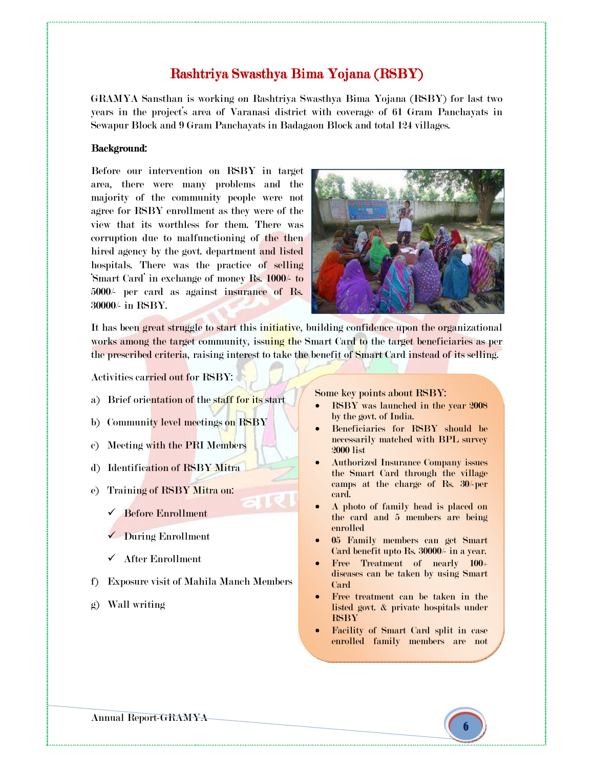# Rashtriya Swasthya Bima Yojana (RSBY)

GRAMYA Sansthan is working on Rashtriya Swasthya Bima Yojana (RSBY) for last two years in the project's area of Varanasi district with coverage of 61 Gram Panchayats in Sewapur Block and 9 Gram Panchayats in Badagaon Block and total 124 villages.

#### Background:

Before our intervention on RSBY in target area, there were many problems and the majority of the community people were not agree for RSBY enrollment as they were of the view that its worthless for them. There was corruption due to malfunctioning of the then hired agency by the govt. department and listed hospitals. There was the practice of selling 'Smart Card' in exchange of money Rs. 1000/- to 5000/- per card as against insurance of Rs. 30000/- in RSBY.



It has been great struggle to start this initiative, building confidence upon the organizational works among the target community, issuing the Smart Card to the target beneficiaries as per the prescribed criteria, raising interest to take the benefit of Smart Card instead of its selling.

Activities carried out for RSBY:

- a) Brief orientation of the staff for its start
- b) Community level meetings on RSBY
- c) Meeting with the PRI Members
- d) Identification of RSBY Mitra
- e) Training of RSBY Mitra on:
	- $\checkmark$  Before Enrollment
	- During Enrollment
	- $\checkmark$  After Enrollment
- f) Exposure visit of Mahila Manch Members
- g) Wall writing

Some key points about RSBY:

- RSBY was launched in the year 2008 by the govt. of India.
- Beneficiaries for RSBY should be necessarily matched with BPL survey 2000 list
- Authorized Insurance Company issues the Smart Card through the village camps at the charge of Rs. 30/-per card.
- A photo of family head is placed on the card and 5 members are being enrolled
- 05 Family members can get Smart Card benefit upto Rs. 30000/- in a year.
- Free Treatment of nearly 100+ diseases can be taken by using Smart Card
- Free treatment can be taken in the listed govt. & private hospitals under **RSBY**
- Facility of Smart Card split in case enrolled family members are not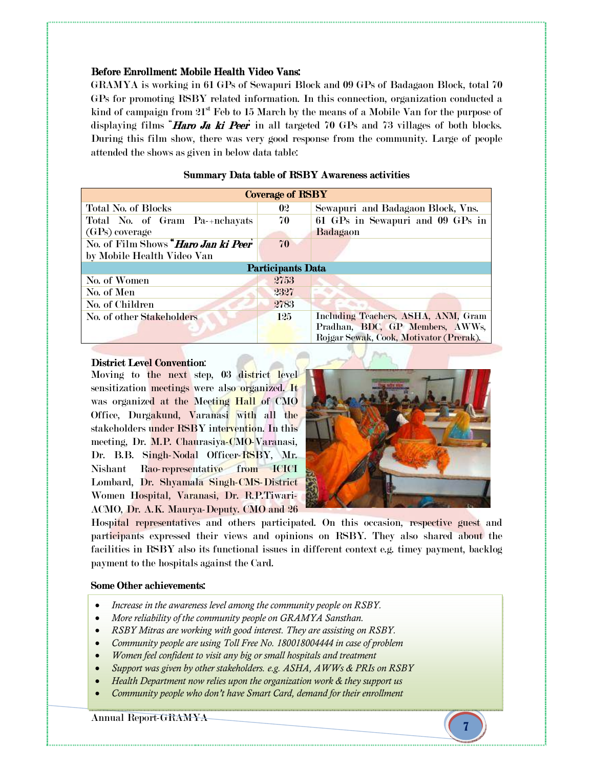#### Before Enrollment: Mobile Health Video Vans:

GRAMYA is working in 61 GPs of Sewapuri Block and 09 GPs of Badagaon Block, total 70 GPs for promoting RSBY related information. In this connection, organization conducted a kind of campaign from  $21<sup>st</sup>$  Feb to 15 March by the means of a Mobile Van for the purpose of displaying films **"Haro Ja ki Peer**' in all targeted 70 GPs and 73 villages of both blocks. During this film show, there was very good response from the community. Large of people attended the shows as given in below data table:

| <b>Coverage of RSBY</b>                       |                |                                                                        |  |  |
|-----------------------------------------------|----------------|------------------------------------------------------------------------|--|--|
| Total No. of Blocks                           | 0 <sup>2</sup> | Sewapuri and Badagaon Block, Vns.                                      |  |  |
| Total No. of Gram Pa-+nchayats                | 70             | 61 GPs in Sewapuri and 09 GPs in                                       |  |  |
| (GPs) coverage                                |                | Badagaon                                                               |  |  |
| No. of Film Shows " <b>Haro Jan ki Peer</b> " | 70             |                                                                        |  |  |
| by Mobile Health Video Van                    |                |                                                                        |  |  |
| <b>Participants Data</b>                      |                |                                                                        |  |  |
| No. of Women                                  | 2753           |                                                                        |  |  |
| No. of Men                                    | 2327           |                                                                        |  |  |
| No. of Children                               | 2783           |                                                                        |  |  |
| No. of other Stakeholders                     | 125            | Including Teachers, ASHA, ANM, Gram<br>Pradhan, BDC, GP Members, AWWs, |  |  |
|                                               |                | Rojgar Sewak, Cook, Motivator (Prerak).                                |  |  |
|                                               |                |                                                                        |  |  |

# Summary Data table of RSBY Awareness activities

#### District Level Convention:

Moving to the next step, 03 district level sensitization meetings were also organized. It was organized at the Meeting Hall of CMO Office, Durgakund, Varanasi with all the stakeholders under RSBY intervention. In this meeting, Dr. M.P. Chaurasiya-CMO-Varanasi, Dr. B.B. Singh-Nodal Officer-RSBY, Mr. Nishant Rao-representative from ICICI Lombard, Dr. Shyamala Singh-CMS-District Women Hospital, Varanasi, Dr. R.P.Tiwari-ACMO, Dr. A.K. Maurya-Deputy. CMO and 26



Hospital representatives and others participated. On this occasion, respective guest and participants expressed their views and opinions on RSBY. They also shared about the facilities in RSBY also its functional issues in different context e.g. timey payment, backlog payment to the hospitals against the Card.

#### Some Other achievements:

- *Increase in the awareness level among the community people on RSBY.*
- *More reliability of the community people on GRAMYA Sansthan.*
- *RSBY Mitras are working with good interest. They are assisting on RSBY.*
- *Community people are using Toll Free No. 180018004444 in case of problem*
- *Women feel confident to visit any big or small hospitals and treatment*
- *Support was given by other stakeholders. e.g. ASHA, AWWs & PRIs on RSBY*
- *Health Department now relies upon the organization work & they support us*
- *Community people who don't have Smart Card, demand for their enrollment*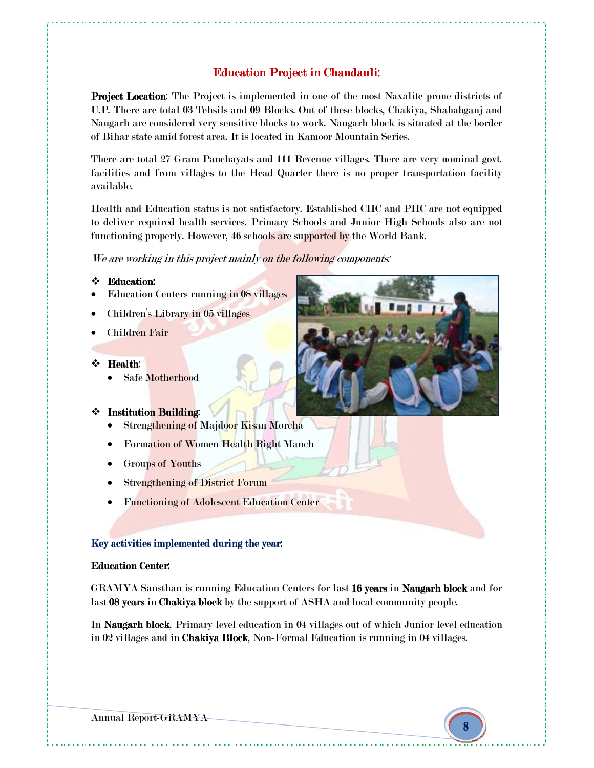# **Education Project in Chandauli:**

**Project Location:** The Project is implemented in one of the most Naxalite prone districts of U.P. There are total 03 Tehsils and 09 Blocks. Out of these blocks, Chakiya, Shahabganj and Naugarh are considered very sensitive blocks to work. Naugarh block is situated at the border of Bihar state amid forest area. It is located in Kamoor Mountain Series.

There are total 27 Gram Panchayats and 111 Revenue villages. There are very nominal govt. facilities and from villages to the Head Quarter there is no proper transportation facility available.

Health and Education status is not satisfactory. Established CHC and PHC are not equipped to deliver required health services. Primary Schools and Junior High Schools also are not functioning properly. However, 46 schools are supported by the World Bank.

#### We are working in this project mainly on the following components:

#### Education:

- Education Centers running in 08 villages
- Children's Library in 05 villages
- Children Fair

#### Health: Health

l

• Safe Motherhood

#### $\div$  Institution Building:

- Strengthening of Majdoor Kisan Morcha
- Formation of Women Health Right Manch
- Groups of Youths
- **Strengthening of District Forum**
- Functioning of Adolescent Education Center

#### Key activities implemented during the year:

#### **Education Center:**

GRAMYA Sansthan is running Education Centers for last 16 years in Naugarh block and for last 08 years in Chakiya block by the support of ASHA and local community people.

In Naugarh block, Primary level education in 04 villages out of which Junior level education in 02 villages and in Chakiya Block, Non-Formal Education is running in 04 villages.

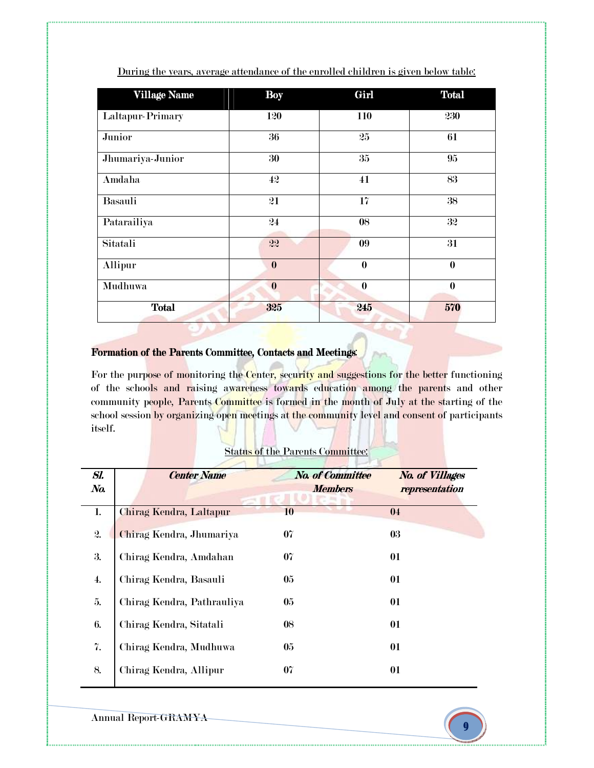| <b>Village Name</b> | <b>Boy</b>       | Girl     | <b>Total</b> |
|---------------------|------------------|----------|--------------|
| Laltapur-Primary    | 120              | 110      | 230          |
| Junior              | 36               | 25       | 61           |
| Jhumariya-Junior    | 30               | 35       | 95           |
| Amdaha              | 42               | 41       | 83           |
| Basauli             | 21               | 17       | 38           |
| Patarailiya         | 24               | 08       | 32           |
| Sitatali            | 22               | 09       | 31           |
| Allipur             | $\bf{0}$         | $\bf{0}$ | $\bf{0}$     |
| Mudhuwa             | $\boldsymbol{0}$ | $\bf{0}$ | $\bf{0}$     |
| <b>Total</b>        | 325              | 245      | 570          |

During the years, average attendance of the enrolled children is given below table:

# Formation of the Parents Committee, Contacts and Meetings:

For the purpose of monitoring the Center, security and suggestions for the better functioning of the schools and raising awareness towards education among the parents and other community people, Parents Committee is formed in the month of July at the starting of the school session by organizing open meetings at the community level and consent of participants itself.

|  |  | <b>Status of the Parents Committee:</b> |
|--|--|-----------------------------------------|
|  |  |                                         |

| Sl.<br>No.         | <b>Center Name</b>         | <b>No. of Committee</b><br><b>Members</b> | <b>No. of Villages</b><br>representation |
|--------------------|----------------------------|-------------------------------------------|------------------------------------------|
| 1.                 | Chirag Kendra, Laltapur    | 10                                        | 04                                       |
| 2.                 | Chirag Kendra, Jhumariya   | 07                                        | 03                                       |
| 3.                 | Chirag Kendra, Amdahan     | 07                                        | 01                                       |
| $\boldsymbol{4}$ . | Chirag Kendra, Basauli     | 05                                        | 01                                       |
| 5.                 | Chirag Kendra, Pathrauliya | 05                                        | 01                                       |
| 6.                 | Chirag Kendra, Sitatali    | 08                                        | 01                                       |
| 7.                 | Chirag Kendra, Mudhuwa     | 05                                        | 01                                       |
| 8.                 | Chirag Kendra, Allipur     | 07                                        | 01                                       |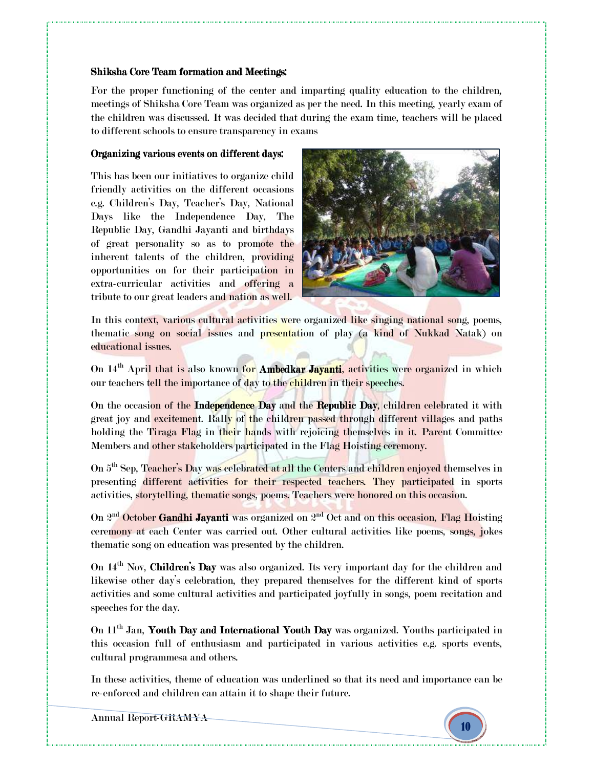#### Shiksha Core Team formation and Meetings:

For the proper functioning of the center and imparting quality education to the children, meetings of Shiksha Core Team was organized as per the need. In this meeting, yearly exam of the children was discussed. It was decided that during the exam time, teachers will be placed to different schools to ensure transparency in exams

#### Organizing various events on different days:

This has been our initiatives to organize child friendly activities on the different occasions e.g. Children's Day, Teacher's Day, National Days like the Independence Day, The Republic Day, Gandhi Jayanti and birthdays of great personality so as to promote the inherent talents of the children, providing opportunities on for their participation in extra-curricular activities and offering a tribute to our great leaders and nation as well.



In this context, various cultural activities were organized like singing national song, poems, thematic song on social issues and presentation of play (a kind of Nukkad Natak) on educational issues.

On 14<sup>th</sup> April that is also known for Ambedkar Javanti, activities were organized in which our teachers tell the importance of day to the children in their speeches.

On the occasion of the Independence Day and the Republic Day, children celebrated it with great joy and excitement. Rally of the children passed through different villages and paths holding the Tiraga Flag in their hands with rejoicing themselves in it. Parent Committee Members and other stakeholders participated in the Flag Hoisting ceremony.

On 5<sup>th</sup> Sep, Teacher's Day was celebrated at all the Centers and children enjoyed themselves in presenting different activities for their respected teachers. They participated in sports activities, storytelling, thematic songs, poems. Teachers were honored on this occasion.

On 2<sup>nd</sup> October Gandhi Jayanti was organized on 2<sup>nd</sup> Oct and on this occasion, Flag Hoisting ceremony at each Center was carried out. Other cultural activities like poems, songs, jokes thematic song on education was presented by the children.

On  $14^{\text{th}}$  Nov, Children's Day was also organized. Its very important day for the children and likewise other day's celebration, they prepared themselves for the different kind of sports activities and some cultural activities and participated joyfully in songs, poem recitation and speeches for the day.

On  $11<sup>th</sup>$  Jan, Youth Day and International Youth Day was organized. Youths participated in this occasion full of enthusiasm and participated in various activities e.g. sports events, cultural programmesa and others.

In these activities, theme of education was underlined so that its need and importance can be re-enforced and children can attain it to shape their future.

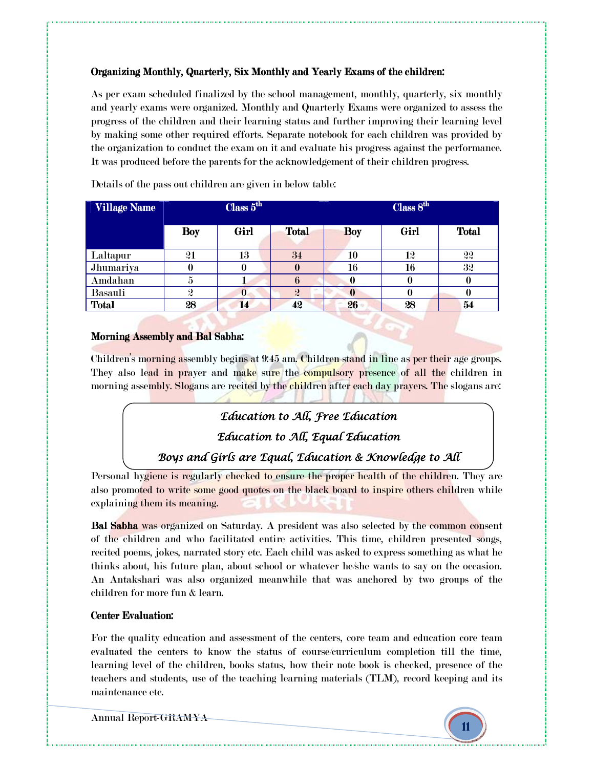# Organizing Monthly, Quarterly, Six Monthly and Yearly Exams of the children:

As per exam scheduled finalized by the school management, monthly, quarterly, six monthly and yearly exams were organized. Monthly and Quarterly Exams were organized to assess the progress of the children and their learning status and further improving their learning level by making some other required efforts. Separate notebook for each children was provided by the organization to conduct the exam on it and evaluate his progress against the performance. It was produced before the parents for the acknowledgement of their children progress.

| <b>Village Name</b> | Class 5 <sup>th</sup> |          |                  | Class 8 <sup>th</sup> |          |              |
|---------------------|-----------------------|----------|------------------|-----------------------|----------|--------------|
|                     | <b>Boy</b>            | Girl     | <b>Total</b>     | <b>Boy</b>            | Girl     | <b>Total</b> |
| Laltapur            | 21                    | 13       | 34               | 10                    | $1\!\!2$ | 22           |
| Jhumariya           | $\bf{0}$              | 0        |                  | 16                    | 16       | 32           |
| Amdahan             | 5                     |          | o                | 0                     | u        |              |
| Basauli             | $\boldsymbol{2}$      | $\bf{0}$ | $\boldsymbol{2}$ | 0                     |          |              |
| <b>Total</b>        | 28                    | 14       | 42               | 26                    | 28       | 54           |

Details of the pass out children are given in below table:

# Morning Assembly and Bal Sabha:

Children's morning assembly begins at 9:45 am. Children stand in line as per their age groups. They also lead in prayer and make sure the compulsory presence of all the children in morning assembly. Slogans are recited by the children after each day prayers. The slogans are:

# Education to All, Free Education

Education to All, Equal Education

Boys and Girls are Equal, Education & Knowledge to All

Personal hygiene is regularly checked to ensure the proper health of the children. They are also promoted to write some good quotes on the black board to inspire others children while explaining them its meaning.

Bal Sabha was organized on Saturday. A president was also selected by the common consent of the children and who facilitated entire activities. This time, children presented songs, recited poems, jokes, narrated story etc. Each child was asked to express something as what he thinks about, his future plan, about school or whatever he/she wants to say on the occasion. An Antakshari was also organized meanwhile that was anchored by two groups of the children for more fun & learn.

# Center Evaluation:

For the quality education and assessment of the centers, core team and education core team evaluated the centers to know the status of course/curriculum completion till the time, learning level of the children, books status, how their note book is checked, presence of the teachers and students, use of the teaching learning materials (TLM), record keeping and its maintenance etc.

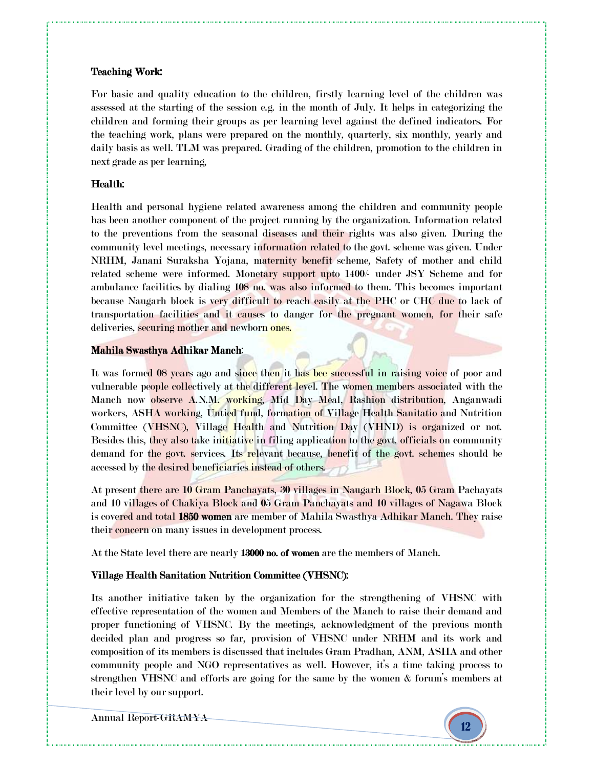# Teaching Work:

For basic and quality education to the children, firstly learning level of the children was assessed at the starting of the session e.g. in the month of July. It helps in categorizing the children and forming their groups as per learning level against the defined indicators. For the teaching work, plans were prepared on the monthly, quarterly, six monthly, yearly and daily basis as well. TLM was prepared. Grading of the children, promotion to the children in next grade as per learning,

# Health: Health:

Health and personal hygiene related awareness among the children and community people has been another component of the project running by the organization. Information related to the preventions from the seasonal diseases and their rights was also given. During the community level meetings, necessary information related to the govt. scheme was given. Under NRHM, Janani Suraksha Yojana, maternity benefit scheme, Safety of mother and child related scheme were informed. Monetary support upto 1400/- under JSY Scheme and for ambulance facilities by dialing 108 no. was also informed to them. This becomes important because Naugarh block is very difficult to reach easily at the PHC or CHC due to lack of transportation facilities and it causes to danger for the pregnant women, for their safe deliveries, securing mother and newborn ones.

# Mahila Swasthya Adhikar Manch:

It was formed 08 years ago and since then it has bee successful in raising voice of poor and vulnerable people collectively at the different level. The women members associated with the Manch now observe A.N.M. working, Mid Day Meal, Rashion distribution, Anganwadi workers, ASHA working, Untied fund, formation of Village Health Sanitatio and Nutrition Committee (VHSNC), Village Health and Nutrition Day (VHND) is organized or not. Besides this, they also take initiative in filing application to the govt, officials on community demand for the govt. services. Its relevant because, benefit of the govt. schemes should be accessed by the desired beneficiaries instead of others.

At present there are 10 Gram Panchayats, 30 villages in Naugarh Block, 05 Gram Pachayats and 10 villages of Chakiya Block and 05 Gram Panchayats and 10 villages of Nagawa Block is covered and total 1850 women are member of Mahila Swasthya Adhikar Manch. They raise their concern on many issues in development process.

At the State level there are nearly 13000 no. of women are the members of Manch.

# Village Health Sanitation Nutrition Committee (VHSNC):

Its another initiative taken by the organization for the strengthening of VHSNC with effective representation of the women and Members of the Manch to raise their demand and proper functioning of VHSNC. By the meetings, acknowledgment of the previous month decided plan and progress so far, provision of VHSNC under NRHM and its work and composition of its members is discussed that includes Gram Pradhan, ANM, ASHA and other community people and NGO representatives as well. However, it's a time taking process to strengthen VHSNC and efforts are going for the same by the women & forum's members at their level by our support.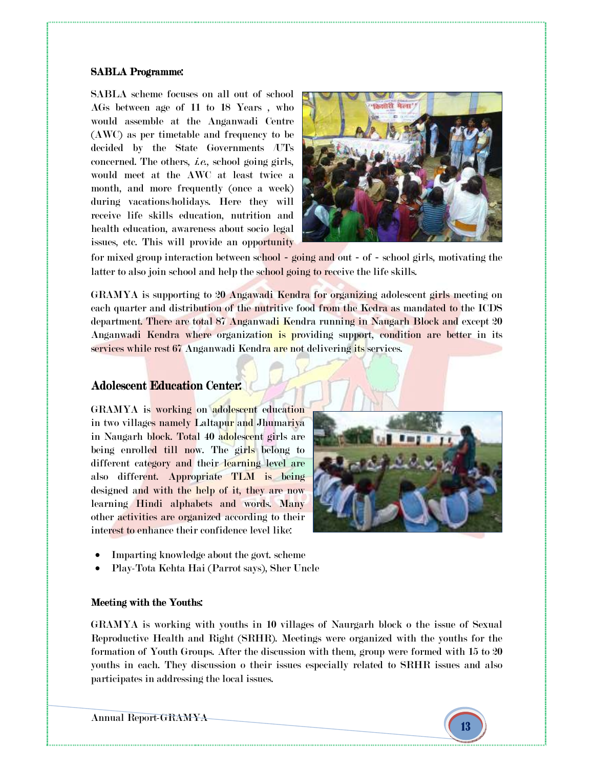#### SABLA Programme:

SABLA scheme focuses on all out of school AGs between age of 11 to 18 Years , who would assemble at the Anganwadi Centre (AWC) as per timetable and frequency to be decided by the State Governments /UTs concerned. The others, i.e., school going girls, would meet at the AWC at least twice a month, and more frequently (once a week) during vacations/holidays. Here they will receive life skills education, nutrition and health education, awareness about socio legal issues, etc. This will provide an opportunity



for mixed group interaction between school – going and out – of – school girls, motivating the latter to also join school and help the school going to receive the life skills.

GRAMYA is supporting to 20 Angawadi Kendra for organizing adolescent girls meeting on each quarter and distribution of the nutritive food from the Kedra as mandated to the ICDS department. There are total 87 Anganwadi Kendra running in Naugarh Block and except 20 Anganwadi Kendra where organization is providing support, condition are better in its services while rest 67 Anganwadi Kendra are not delivering its services.

# Adolescent Education Center:

GRAMYA is working on adolescent education in two villages namely Laltapur and Jhumariya in Naugarh block. Total 40 adolescent girls are being enrolled till now. The girls belong to different category and their learning level are also different. Appropriate TLM is being designed and with the help of it, they are now learning Hindi alphabets and words. Many other activities are organized according to their interest to enhance their confidence level like:



- Imparting knowledge about the govt. scheme
- Play-Tota Kehta Hai (Parrot says), Sher Uncle

#### Meeting with the Youths:

GRAMYA is working with youths in 10 villages of Naurgarh block o the issue of Sexual Reproductive Health and Right (SRHR). Meetings were organized with the youths for the formation of Youth Groups. After the discussion with them, group were formed with 15 to 20 youths in each. They discussion o their issues especially related to SRHR issues and also participates in addressing the local issues.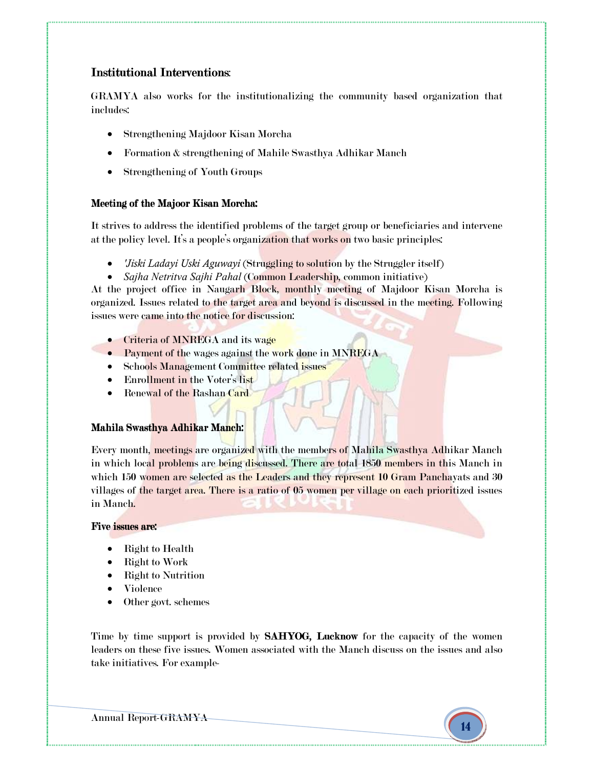# Institutional Interventions:

GRAMYA also works for the institutionalizing the community based organization that includes:

- Strengthening Majdoor Kisan Morcha
- Formation & strengthening of Mahile Swasthya Adhikar Manch
- Strengthening of Youth Groups

# Meeting of the Majoor Kisan Morcha:

It strives to address the identified problems of the target group or beneficiaries and intervene at the policy level. It's a people's organization that works on two basic principles:

- *'Jiski Ladayi Uski Aguwayi* (Struggling to solution by the Struggler itself)
- *Sajha Netritva Sajhi Pahal* (Common Leadership, common initiative)

At the project office in Naugarh Block, monthly meeting of Majdoor Kisan Morcha is organized. Issues related to the target area and beyond is discussed in the meeting. Following issues were came into the notice for discussion:

- Criteria of MNREGA and its wage
- Payment of the wages against the work done in MNREGA
- Schools Management Committee related issues
- Enrollment in the Voter's list
- Renewal of the Rashan Card

# Mahila Swasthya Adhikar Manch:

Every month, meetings are organized with the members of Mahila Swasthya Adhikar Manch in which local problems are being discussed. There are total 1850 members in this Manch in which 150 women are selected as the Leaders and they represent 10 Gram Panchayats and 30 villages of the target area. There is a ratio of 05 women per village on each prioritized issues in Manch.

#### Five issues are:

- Right to Health
- Right to Work
- Right to Nutrition
- Violence
- Other govt. schemes

Time by time support is provided by **SAHYOG, Lucknow** for the capacity of the women leaders on these five issues. Women associated with the Manch discuss on the issues and also take initiatives. For example-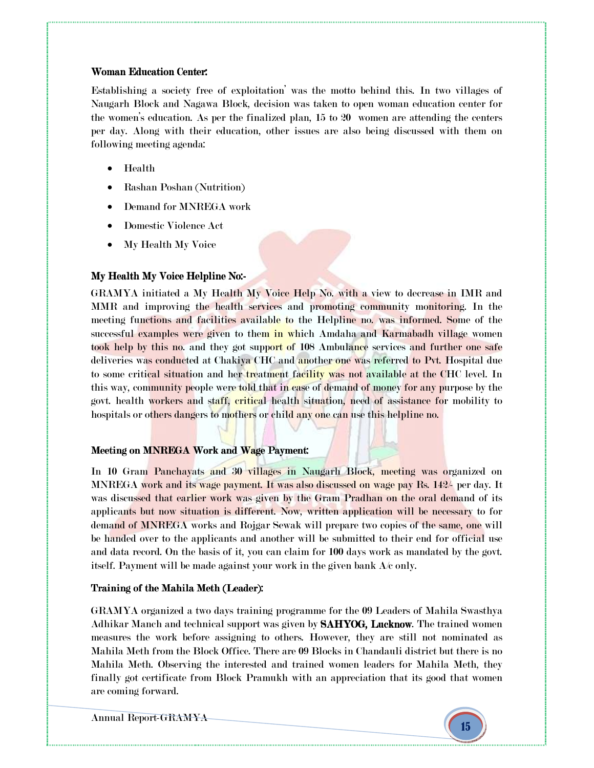#### Woman Education Center:

Establishing a society free of exploitation' was the motto behind this. In two villages of Naugarh Block and Nagawa Block, decision was taken to open woman education center for the women's education. As per the finalized plan, 15 to 20 women are attending the centers per day. Along with their education, other issues are also being discussed with them on following meeting agenda:

- Health
- Rashan Poshan (Nutrition)
- Demand for MNREGA work
- Domestic Violence Act
- My Health My Voice

# My Health My Voice Helpline No:-

GRAMYA initiated a My Health My Voice Help No. with a view to decrease in IMR and MMR and improving the health services and promoting community monitoring. In the meeting functions and facilities available to the Helpline no. was informed. Some of the successful examples were given to them in which Amdaha and Karmabadh village women took help by this no. and they got support of 108 Ambulance services and further one safe deliveries was conducted at Chakiya CHC and another one was referred to Pvt. Hospital due to some critical situation and her treatment facility was not available at the CHC level. In this way, community people were told that in case of demand of money for any purpose by the govt. health workers and staff, critical health situation, need of assistance for mobility to hospitals or others dangers to mothers or child any one can use this helpline no.

# Meeting on MNREGA Work and Wage Payment:

In 10 Gram Panchayats and 30 villages in Naugarh Block, meeting was organized on MNREGA work and its wage payment. It was also discussed on wage pay Rs. 142/- per day. It was discussed that earlier work was given by the Gram Pradhan on the oral demand of its applicants but now situation is different. Now, written application will be necessary to for demand of MNREGA works and Rojgar Sewak will prepare two copies of the same, one will be handed over to the applicants and another will be submitted to their end for official use and data record. On the basis of it, you can claim for 100 days work as mandated by the govt. itself. Payment will be made against your work in the given bank A/c only.

# Training of the Mahila Meth (Leader): Training of the Mahila Meth (Leader):

GRAMYA organized a two days training programme for the 09 Leaders of Mahila Swasthya Adhikar Manch and technical support was given by **SAHYOG, Lucknow**. The trained women measures the work before assigning to others. However, they are still not nominated as Mahila Meth from the Block Office. There are 09 Blocks in Chandauli district but there is no Mahila Meth. Observing the interested and trained women leaders for Mahila Meth, they finally got certificate from Block Pramukh with an appreciation that its good that women are coming forward.